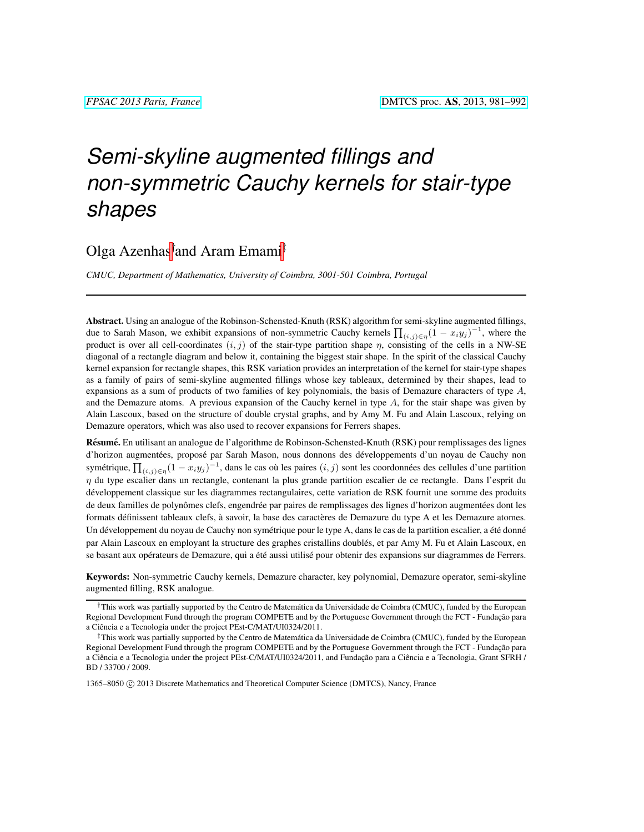# *Semi-skyline augmented fillings and non-symmetric Cauchy kernels for stair-type shapes*

# Olga Azenhas† and Aram Emami‡

*CMUC, Department of Mathematics, University of Coimbra, 3001-501 Coimbra, Portugal*

Abstract. Using an analogue of the Robinson-Schensted-Knuth (RSK) algorithm for semi-skyline augmented fillings, due to Sarah Mason, we exhibit expansions of non-symmetric Cauchy kernels  $\prod_{(i,j)\in\eta} (1-x_i y_j)^{-1}$ , where the product is over all cell-coordinates  $(i, j)$  of the stair-type partition shape  $\eta$ , consisting of the cells in a NW-SE diagonal of a rectangle diagram and below it, containing the biggest stair shape. In the spirit of the classical Cauchy kernel expansion for rectangle shapes, this RSK variation provides an interpretation of the kernel for stair-type shapes as a family of pairs of semi-skyline augmented fillings whose key tableaux, determined by their shapes, lead to expansions as a sum of products of two families of key polynomials, the basis of Demazure characters of type  $A$ , and the Demazure atoms. A previous expansion of the Cauchy kernel in type  $A$ , for the stair shape was given by Alain Lascoux, based on the structure of double crystal graphs, and by Amy M. Fu and Alain Lascoux, relying on Demazure operators, which was also used to recover expansions for Ferrers shapes.

Résumé. En utilisant an analogue de l'algorithme de Robinson-Schensted-Knuth (RSK) pour remplissages des lignes d'horizon augmentées, proposé par Sarah Mason, nous donnons des développements d'un noyau de Cauchy non symétrique,  $\prod_{(i,j)\in\eta} (1-x_i y_j)^{-1}$ , dans le cas où les paires  $(i, j)$  sont les coordonnées des cellules d'une partition  $\eta$  du type escalier dans un rectangle, contenant la plus grande partition escalier de ce rectangle. Dans l'esprit du developpement classique sur les diagrammes rectangulaires, cette variation de RSK fournit une somme des produits ´ de deux familles de polynômes clefs, engendrée par paires de remplissages des lignes d'horizon augmentées dont les formats définissent tableaux clefs, à savoir, la base des caractères de Demazure du type A et les Demazure atomes. Un développement du noyau de Cauchy non symétrique pour le type A, dans le cas de la partition escalier, a été donné par Alain Lascoux en employant la structure des graphes cristallins doublés, et par Amy M. Fu et Alain Lascoux, en se basant aux opérateurs de Demazure, qui a été aussi utilisé pour obtenir des expansions sur diagrammes de Ferrers.

Keywords: Non-symmetric Cauchy kernels, Demazure character, key polynomial, Demazure operator, semi-skyline augmented filling, RSK analogue.

1365-8050 © 2013 Discrete Mathematics and Theoretical Computer Science (DMTCS), Nancy, France

<sup>†</sup>This work was partially supported by the Centro de Matematica da Universidade de Coimbra (CMUC), funded by the European ´ Regional Development Fund through the program COMPETE and by the Portuguese Government through the FCT - Fundação para a Ciencia e a Tecnologia under the project PEst-C/MAT/UI0324/2011. ˆ

<sup>‡</sup>This work was partially supported by the Centro de Matematica da Universidade de Coimbra (CMUC), funded by the European ´ Regional Development Fund through the program COMPETE and by the Portuguese Government through the FCT - Fundação para a Ciência e a Tecnologia under the project PEst-C/MAT/UI0324/2011, and Fundação para a Ciência e a Tecnologia, Grant SFRH / BD / 33700 / 2009.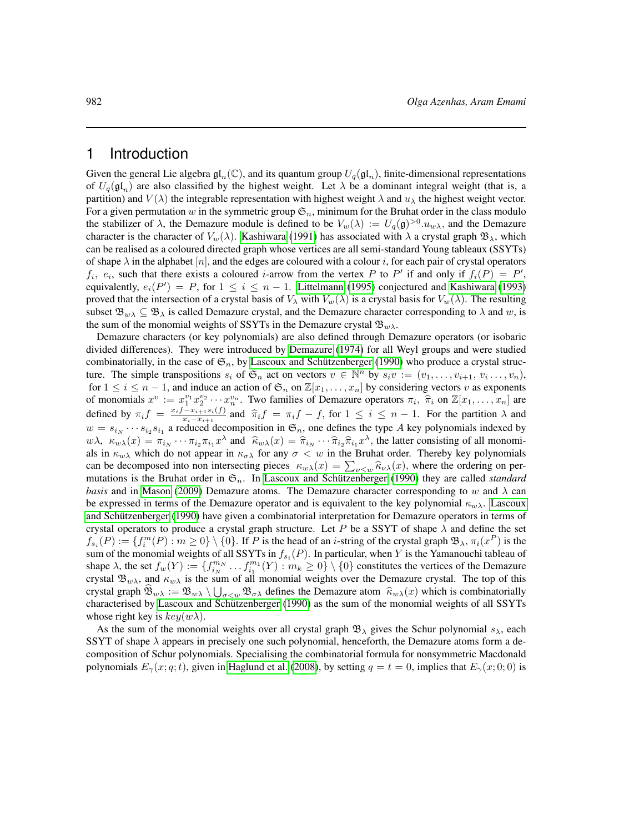### 1 Introduction

Given the general Lie algebra  $\mathfrak{gl}_n(\mathbb{C})$ , and its quantum group  $U_q(\mathfrak{gl}_n)$ , finite-dimensional representations of  $U_q(\mathfrak{gl}_n)$  are also classified by the highest weight. Let  $\lambda$  be a dominant integral weight (that is, a partition) and  $V(\lambda)$  the integrable representation with highest weight  $\lambda$  and  $u_\lambda$  the highest weight vector. For a given permutation w in the symmetric group  $\mathfrak{S}_n$ , minimum for the Bruhat order in the class modulo the stabilizer of  $\lambda$ , the Demazure module is defined to be  $V_w(\lambda) := U_q(\mathfrak{g})^{>0} \cdot u_{w\lambda}$ , and the Demazure character is the character of  $V_w(\lambda)$ . [Kashiwara](#page-11-0) [\(1991\)](#page-11-0) has associated with  $\lambda$  a crystal graph  $\mathfrak{B}_{\lambda}$ , which can be realised as a coloured directed graph whose vertices are all semi-standard Young tableaux (SSYTs) of shape  $\lambda$  in the alphabet [n], and the edges are coloured with a colour i, for each pair of crystal operators  $f_i$ ,  $e_i$ , such that there exists a coloured *i*-arrow from the vertex P to P' if and only if  $f_i(P) = P'$ , equivalently,  $e_i(P') = P$ , for  $1 \le i \le n - 1$ . [Littelmann](#page-11-1) [\(1995\)](#page-11-1) conjectured and [Kashiwara](#page-11-2) [\(1993\)](#page-11-2) proved that the intersection of a crystal basis of  $V_\lambda$  with  $V_w(\lambda)$  is a crystal basis for  $V_w(\lambda)$ . The resulting subset  $\mathfrak{B}_{w\lambda} \subseteq \mathfrak{B}_{\lambda}$  is called Demazure crystal, and the Demazure character corresponding to  $\lambda$  and w, is the sum of the monomial weights of SSYTs in the Demazure crystal  $\mathfrak{B}_{w\lambda}$ .

Demazure characters (or key polynomials) are also defined through Demazure operators (or isobaric divided differences). They were introduced by [Demazure](#page-11-3) [\(1974\)](#page-11-3) for all Weyl groups and were studied combinatorially, in the case of  $\mathfrak{S}_n$ , by Lascoux and Schützenberger [\(1990\)](#page-11-4) who produce a crystal structure. The simple transpositions  $s_i$  of  $\mathfrak{S}_n$  act on vectors  $v \in \mathbb{N}^n$  by  $s_i v := (v_1, \ldots, v_{i+1}, v_i \ldots, v_n)$ , for  $1 \le i \le n-1$ , and induce an action of  $\mathfrak{S}_n$  on  $\mathbb{Z}[x_1,\ldots,x_n]$  by considering vectors v as exponents of monomials  $x^v := x_1^{v_1} x_2^{v_2} \cdots x_n^{v_n}$ . Two families of Demazure operators  $\pi_i$ ,  $\hat{\pi}_i$  on  $\mathbb{Z}[x_1, \ldots, x_n]$  are defined by  $\pi_i f = \frac{x_i f - x_{i+1} s_i(f)}{x_i - x_{i+1}}$  and  $\hat{\pi}_i f = \pi_i f - f$ , for  $1 \le i \le n - 1$ . For the part  $\frac{-x_{i+1}s_i(j)}{x_i-x_{i+1}}$  and  $\hat{\pi}_i f = \pi_if - f$ , for  $1 \leq i \leq n-1$ . For the partition  $\lambda$  and  $\hat{\pi}_i$  decomposition in  $\mathfrak{S}$  are defines the time. A lieu polynomials indexed by  $w = s_{i_N} \cdots s_{i_2} s_{i_1}$  a reduced decomposition in  $\mathfrak{S}_n$ , one defines the type A key polynomials indexed by  $w\lambda$ ,  $\kappa_{w\lambda}(x) = \pi_{i_N} \cdots \pi_{i2} \pi_{i1} x^{\lambda}$  and  $\hat{\kappa}_{w\lambda}(x) = \hat{\pi}_{i_N} \cdots \hat{\pi}_{i2} \hat{\pi}_{i1} x^{\lambda}$ , the latter consisting of all monomi-<br>als in  $\kappa$ , which do not appear in  $\kappa$ , for any  $\sigma < w$  in the Brubat order. Ther als in  $\kappa_{w\lambda}$  which do not appear in  $\kappa_{\sigma\lambda}$  for any  $\sigma < w$  in the Bruhat order. Thereby key polynomials can be decomposed into non intersecting pieces  $\kappa_{w\lambda}(x) = \sum_{\nu \leq w} \hat{\kappa}_{\nu\lambda}(x)$ , where the ordering on per-<br>mutations is the Brubat order in  $\mathfrak{S}$ . In Loscoux and Sobiitzenberger (1000) thay are called standard mutations is the Bruhat order in  $\mathfrak{S}_n$ . In Lascoux and Schützenberger [\(1990\)](#page-11-4) they are called *standard basis* and in [Mason](#page-11-5) [\(2009\)](#page-11-5) Demazure atoms. The Demazure character corresponding to w and  $\lambda$  can be expressed in terms of the Demazure operator and is equivalent to the key polynomial  $\kappa_{w\lambda}$ . [Lascoux](#page-11-4) and Schützenberger [\(1990\)](#page-11-4) have given a combinatorial interpretation for Demazure operators in terms of crystal operators to produce a crystal graph structure. Let P be a SSYT of shape  $\lambda$  and define the set  $f_{s_i}(P) := \{f_i^m(P) : m \ge 0\} \setminus \{0\}$ . If P is the head of an *i*-string of the crystal graph  $\mathfrak{B}_{\lambda}, \pi_i(x^P)$  is the sum of the monomial weights of all SSYTs in  $f_{s_i}(P)$ . In particular, when Y is the Yamanouchi tableau of shape  $\lambda$ , the set  $f_w(Y) := \{f_{i_N}^{m_N} \dots f_{i_1}^{m_1}(Y) : m_k \ge 0\} \setminus \{0\}$  constitutes the vertices of the Demazure crystal  $\mathfrak{B}_{w\lambda}$ , and  $\kappa_{w\lambda}$  is the sum of all monomial weights over the Demazure crystal. The top of this crystal graph  $\mathcal{B}_{w\lambda} := \mathcal{B}_{w\lambda} \setminus \bigcup_{\sigma \leq w} \mathcal{B}_{\sigma\lambda}$  defines the Demazure atom  $\hat{\kappa}_{w\lambda}(x)$  which is combinatorially characterised by [Lascoux and Schutzenberger](#page-11-4) [\(1990\)](#page-11-4) as the sum of the monomial weights of all SSYTs ¨ whose right key is  $key(w\lambda)$ .

As the sum of the monomial weights over all crystal graph  $\mathfrak{B}_{\lambda}$  gives the Schur polynomial  $s_{\lambda}$ , each SSYT of shape  $\lambda$  appears in precisely one such polynomial, henceforth, the Demazure atoms form a decomposition of Schur polynomials. Specialising the combinatorial formula for nonsymmetric Macdonald polynomials  $E_{\gamma}(x; q; t)$ , given in [Haglund et al.](#page-11-6) [\(2008\)](#page-11-6), by setting  $q = t = 0$ , implies that  $E_{\gamma}(x; 0; 0)$  is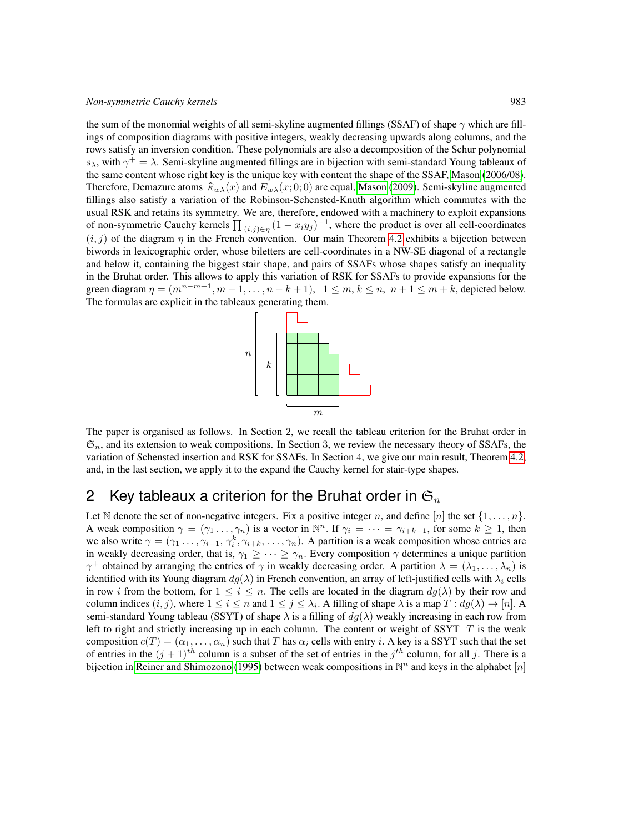#### *Non-symmetric Cauchy kernels* 983

the sum of the monomial weights of all semi-skyline augmented fillings (SSAF) of shape  $\gamma$  which are fillings of composition diagrams with positive integers, weakly decreasing upwards along columns, and the rows satisfy an inversion condition. These polynomials are also a decomposition of the Schur polynomial  $s_{\lambda}$ , with  $\gamma^+ = \lambda$ . Semi-skyline augmented fillings are in bijection with semi-standard Young tableaux of the same content whose right key is the unique key with content the shape of the SSAF, [Mason](#page-11-7) [\(2006/08\)](#page-11-7). Therefore, Demazure atoms  $\hat{\kappa}_{w\lambda}(x)$  and  $E_{w\lambda}(x; 0; 0)$  are equal, [Mason](#page-11-5) [\(2009\)](#page-11-5). Semi-skyline augmented fillings also satisfy a variation of the Robinson-Schensted-Knuth algorithm which commutes with the usual RSK and retains its symmetry. We are, therefore, endowed with a machinery to exploit expansions of non-symmetric Cauchy kernels  $\prod_{(i,j)\in\eta} (1-x_i y_j)^{-1}$ , where the product is over all cell-coordinates  $(i, j)$  of the diagram  $\eta$  in the French convention. Our main Theorem [4.2](#page-6-0) exhibits a bijection between biwords in lexicographic order, whose biletters are cell-coordinates in a NW-SE diagonal of a rectangle and below it, containing the biggest stair shape, and pairs of SSAFs whose shapes satisfy an inequality in the Bruhat order. This allows to apply this variation of RSK for SSAFs to provide expansions for the green diagram  $\eta = (m^{n-m+1}, m-1, \ldots, n-k+1), \quad 1 \leq m, k \leq n, n+1 \leq m+k$ , depicted below. The formulas are explicit in the tableaux generating them.



The paper is organised as follows. In Section 2, we recall the tableau criterion for the Bruhat order in  $\mathfrak{S}_n$ , and its extension to weak compositions. In Section 3, we review the necessary theory of SSAFs, the variation of Schensted insertion and RSK for SSAFs. In Section 4, we give our main result, Theorem [4.2,](#page-6-0) and, in the last section, we apply it to the expand the Cauchy kernel for stair-type shapes.

# 2 Key tableaux a criterion for the Bruhat order in  $\mathfrak{S}_n$

Let N denote the set of non-negative integers. Fix a positive integer n, and define [n] the set  $\{1, \ldots, n\}$ . A weak composition  $\gamma = (\gamma_1 \ldots, \gamma_n)$  is a vector in  $\mathbb{N}^n$ . If  $\gamma_i = \cdots = \gamma_{i+k-1}$ , for some  $k \ge 1$ , then we also write  $\gamma = (\gamma_1, \dots, \gamma_{i-1}, \gamma_i^k, \gamma_{i+k}, \dots, \gamma_n)$ . A partition is a weak composition whose entries are in weakly decreasing order, that is,  $\gamma_1 \geq \cdots \geq \gamma_n$ . Every composition  $\gamma$  determines a unique partition  $\gamma^+$  obtained by arranging the entries of  $\gamma$  in weakly decreasing order. A partition  $\lambda = (\lambda_1, \dots, \lambda_n)$  is identified with its Young diagram  $dg(\lambda)$  in French convention, an array of left-justified cells with  $\lambda_i$  cells in row i from the bottom, for  $1 \le i \le n$ . The cells are located in the diagram  $dg(\lambda)$  by their row and column indices  $(i, j)$ , where  $1 \le i \le n$  and  $1 \le j \le \lambda_i$ . A filling of shape  $\lambda$  is a map  $T : dg(\lambda) \to [n]$ . A semi-standard Young tableau (SSYT) of shape  $\lambda$  is a filling of  $dg(\lambda)$  weakly increasing in each row from left to right and strictly increasing up in each column. The content or weight of SSYT  $T$  is the weak composition  $c(T) = (\alpha_1, \dots, \alpha_n)$  such that T has  $\alpha_i$  cells with entry i. A key is a SSYT such that the set of entries in the  $(j + 1)^{th}$  column is a subset of the set of entries in the  $j^{th}$  column, for all j. There is a bijection in [Reiner and Shimozono](#page-11-8) [\(1995\)](#page-11-8) between weak compositions in  $\mathbb{N}^n$  and keys in the alphabet  $[n]$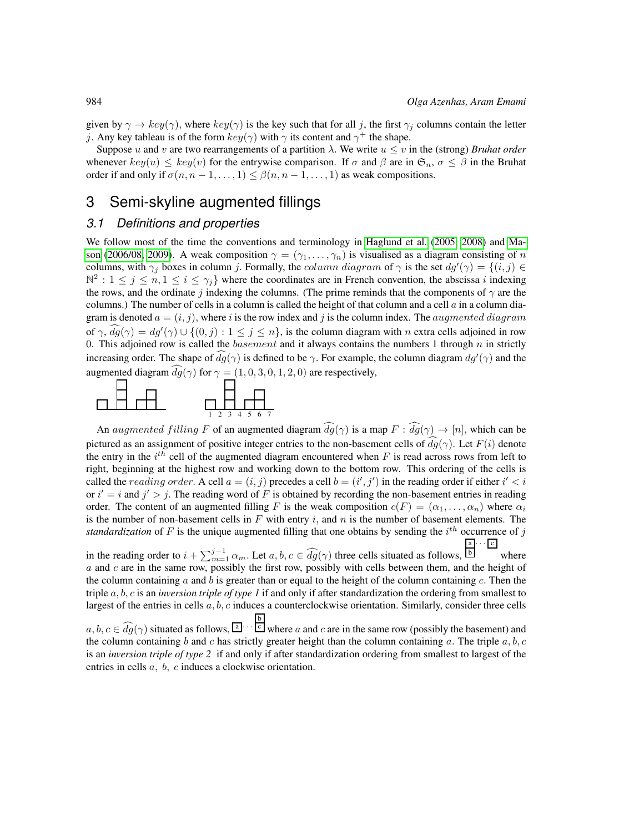given by  $\gamma \to \text{key}(\gamma)$ , where  $\text{key}(\gamma)$  is the key such that for all j, the first  $\gamma_i$  columns contain the letter j. Any key tableau is of the form  $key(\gamma)$  with  $\gamma$  its content and  $\gamma^+$  the shape.

Suppose u and v are two rearrangements of a partition  $\lambda$ . We write  $u \leq v$  in the (strong) *Bruhat order* whenever  $key(u) \leq key(v)$  for the entrywise comparison. If  $\sigma$  and  $\beta$  are in  $\mathfrak{S}_n$ ,  $\sigma \leq \beta$  in the Bruhat order if and only if  $\sigma(n, n-1, \ldots, 1) \leq \beta(n, n-1, \ldots, 1)$  as weak compositions.

## 3 Semi-skyline augmented fillings

#### *3.1 Definitions and properties*

We follow most of the time the conventions and terminology in [Haglund et al.](#page-11-9) [\(2005,](#page-11-9) [2008\)](#page-11-6) and [Ma](#page-11-7)[son](#page-11-7) [\(2006/08,](#page-11-7) [2009\)](#page-11-5). A weak composition  $\gamma = (\gamma_1, \dots, \gamma_n)$  is visualised as a diagram consisting of n columns, with  $\gamma_j$  boxes in column j. Formally, the *column diagram* of  $\gamma$  is the set  $dg'(\gamma) = \{(i, j) \in$  $\mathbb{N}^2: 1 \leq j \leq n, 1 \leq i \leq \gamma_j$  where the coordinates are in French convention, the abscissa i indexing the rows, and the ordinate j indexing the columns. (The prime reminds that the components of  $\gamma$  are the columns.) The number of cells in a column is called the height of that column and a cell  $a$  in a column diagram is denoted  $a = (i, j)$ , where i is the row index and j is the column index. The *augmented diagram* of  $\gamma$ ,  $dg(\gamma) = dg'(\gamma) \cup \{(0, j) : 1 \le j \le n\}$ , is the column diagram with n extra cells adjoined in row 0. This adjoined row is called the *basement* and it always contains the numbers 1 through  $n$  in strictly increasing order. The shape of  $\widehat{dg}(\gamma)$  is defined to be  $\gamma$ . For example, the column diagram  $dg'(\gamma)$  and the augmented diagram  $\widehat{dg}(\gamma)$  for  $\gamma = (1, 0, 3, 0, 1, 2, 0)$  are respectively,



An augmented filling F of an augmented diagram  $\widehat{dg}(\gamma)$  is a map  $F : \widehat{dg}(\gamma) \to [n]$ , which can be pictured as an assignment of positive integer entries to the non-basement cells of  $dg(\gamma)$ . Let  $F(i)$  denote the entry in the  $i^{th}$  cell of the augmented diagram encountered when  $F$  is read across rows from left to right, beginning at the highest row and working down to the bottom row. This ordering of the cells is called the *reading order*. A cell  $a = (i, j)$  precedes a cell  $b = (i', j')$  in the reading order if either  $i' < i$ or  $i' = i$  and  $j' > j$ . The reading word of F is obtained by recording the non-basement entries in reading order. The content of an augmented filling F is the weak composition  $c(F) = (\alpha_1, \ldots, \alpha_n)$  where  $\alpha_i$ is the number of non-basement cells in  $F$  with entry  $i$ , and  $n$  is the number of basement elements. The *standardization* of  $F$  is the unique augmented filling that one obtains by sending the  $i^{th}$  occurrence of  $j$  $\cdot \cdot \cdot$  c

in the reading order to  $i + \sum_{m=1}^{j-1} \alpha_m$ . Let  $a, b, c \in \widehat{dg}(\gamma)$  three cells situated as follows,  $\overline{b}$ where  $a$  and  $c$  are in the same row, possibly the first row, possibly with cells between them, and the height of the column containing a and b is greater than or equal to the height of the column containing  $c$ . Then the triple a, b, c is an *inversion triple of type 1* if and only if after standardization the ordering from smallest to largest of the entries in cells  $a, b, c$  induces a counterclockwise orientation. Similarly, consider three cells

 $a, b, c \in \widehat{dg}(\gamma)$  situated as follows,  $\begin{bmatrix} a \\ c \end{bmatrix}$  where a and c are in the same row (possibly the basement) and the column containing b and c has strictly greater height than the column containing a. The triple  $a, b, c$ is an *inversion triple of type 2* if and only if after standardization ordering from smallest to largest of the entries in cells a, b, c induces a clockwise orientation.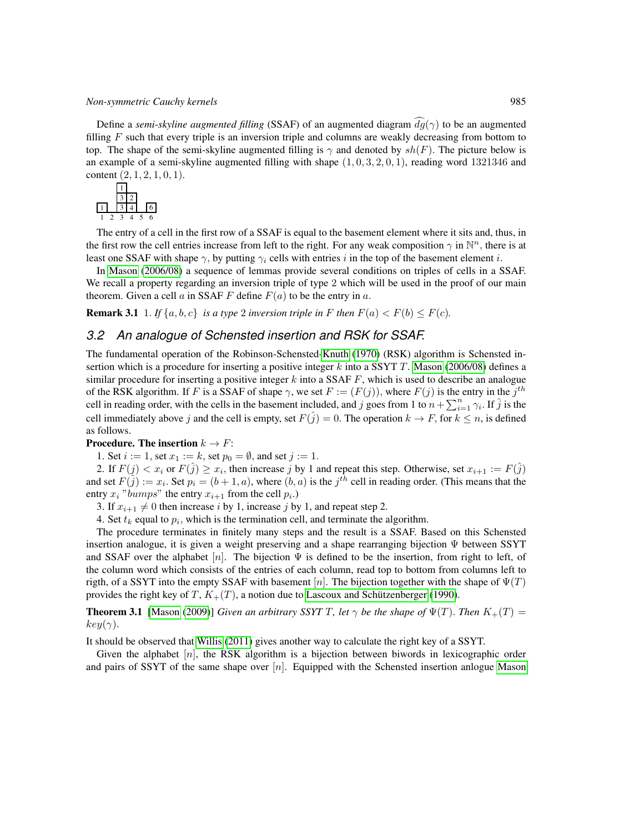Define a *semi-skyline augmented filling* (SSAF) of an augmented diagram  $\widehat{dg}(\gamma)$  to be an augmented filling  $F$  such that every triple is an inversion triple and columns are weakly decreasing from bottom to top. The shape of the semi-skyline augmented filling is  $\gamma$  and denoted by  $sh(F)$ . The picture below is an example of a semi-skyline augmented filling with shape  $(1, 0, 3, 2, 0, 1)$ , reading word 1321346 and content  $(2, 1, 2, 1, 0, 1)$ .



The entry of a cell in the first row of a SSAF is equal to the basement element where it sits and, thus, in the first row the cell entries increase from left to the right. For any weak composition  $\gamma$  in  $\mathbb{N}^n$ , there is at least one SSAF with shape  $\gamma$ , by putting  $\gamma_i$  cells with entries i in the top of the basement element i.

<span id="page-4-0"></span>In [Mason](#page-11-7) [\(2006/08\)](#page-11-7) a sequence of lemmas provide several conditions on triples of cells in a SSAF. We recall a property regarding an inversion triple of type 2 which will be used in the proof of our main theorem. Given a cell a in SSAF F define  $F(a)$  to be the entry in a.

**Remark 3.1** 1. If  $\{a, b, c\}$  *is a type* 2 *inversion triple in* F *then*  $F(a) < F(b) \leq F(c)$ *.* 

#### *3.2 An analogue of Schensted insertion and RSK for SSAF.*

The fundamental operation of the Robinson-Schensted[-Knuth](#page-11-10) [\(1970\)](#page-11-10) (RSK) algorithm is Schensted insertion which is a procedure for inserting a positive integer  $k$  into a SSYT T. [Mason](#page-11-7) [\(2006/08\)](#page-11-7) defines a similar procedure for inserting a positive integer  $k$  into a SSAF  $F$ , which is used to describe an analogue of the RSK algorithm. If F is a SSAF of shape  $\gamma$ , we set  $F := (F(j))$ , where  $F(j)$  is the entry in the  $j^{th}$ cell in reading order, with the cells in the basement included, and j goes from 1 to  $n + \sum_{i=1}^{n} \gamma_i$ . If  $\hat{j}$  is the cell immediately above j and the cell is empty, set  $F(\hat{j}) = 0$ . The operation  $k \to F$ , for  $k \leq n$ , is defined as follows.

#### **Procedure. The insertion**  $k \rightarrow F$ :

1. Set  $i := 1$ , set  $x_1 := k$ , set  $p_0 = \emptyset$ , and set  $j := 1$ .

2. If  $F(j) < x_i$  or  $F(\hat{j}) \ge x_i$ , then increase j by 1 and repeat this step. Otherwise, set  $x_{i+1} := F(\hat{j})$ and set  $F(\tilde{j}) := x_i$ . Set  $p_i = (b+1, a)$ , where  $(b, a)$  is the  $j^{th}$  cell in reading order. (This means that the entry  $x_i$  "bumps" the entry  $x_{i+1}$  from the cell  $p_i$ .)

3. If  $x_{i+1} \neq 0$  then increase i by 1, increase j by 1, and repeat step 2.

4. Set  $t_k$  equal to  $p_i$ , which is the termination cell, and terminate the algorithm.

The procedure terminates in finitely many steps and the result is a SSAF. Based on this Schensted insertion analogue, it is given a weight preserving and a shape rearranging bijection Ψ between SSYT and SSAF over the alphabet  $[n]$ . The bijection  $\Psi$  is defined to be the insertion, from right to left, of the column word which consists of the entries of each column, read top to bottom from columns left to rigth, of a SSYT into the empty SSAF with basement [n]. The bijection together with the shape of  $\Psi(T)$ provides the right key of T,  $K_{+}(T)$ , a notion due to Lascoux and Schützenberger [\(1990\)](#page-11-4).

**Theorem 3.1** [\[Mason](#page-11-5) [\(2009\)](#page-11-5)] *Given an arbitrary SSYT T, let*  $\gamma$  *be the shape of*  $\Psi(T)$ *. Then*  $K_{+}(T)$  =  $key(\gamma)$ .

It should be observed that [Willis](#page-11-11) [\(2011\)](#page-11-11) gives another way to calculate the right key of a SSYT.

Given the alphabet  $[n]$ , the RSK algorithm is a bijection between biwords in lexicographic order and pairs of SSYT of the same shape over  $[n]$ . Equipped with the Schensted insertion anlogue [Mason](#page-11-7)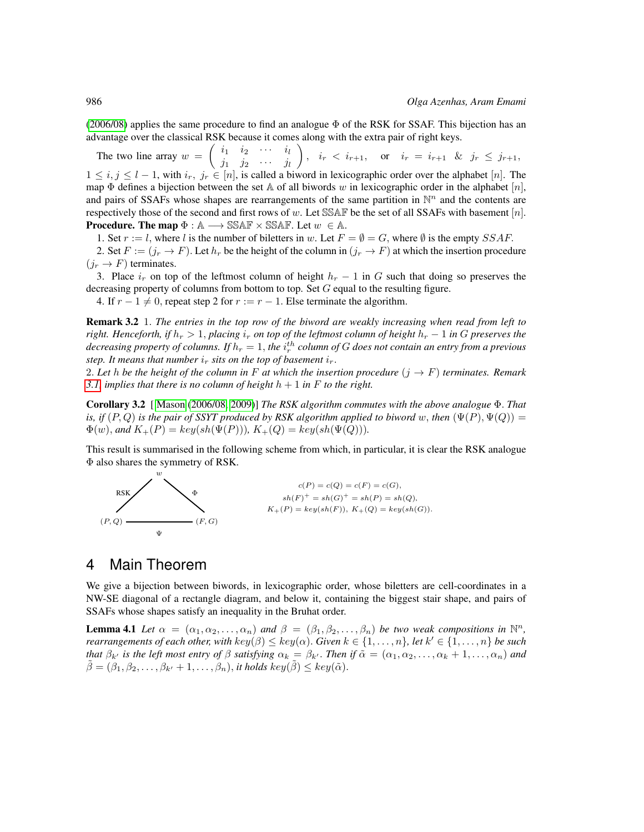$(2006/08)$  applies the same procedure to find an analogue  $\Phi$  of the RSK for SSAF. This bijection has an advantage over the classical RSK because it comes along with the extra pair of right keys.

The two line array  $w = \begin{pmatrix} i_1 & i_2 & \cdots & i_l \\ \vdots & \vdots & \ddots & \vdots \end{pmatrix}$  $j_1$   $j_2$   $\cdots$   $j_l$  $\Big), i_r < i_{r+1}, \text{ or } i_r = i_{r+1} \& j_r \leq j_{r+1},$  $1 \le i, j \le l-1$ , with  $i_r, j_r \in [n]$ , is called a biword in lexicographic order over the alphabet  $[n]$ . The map  $\Phi$  defines a bijection between the set A of all biwords w in lexicographic order in the alphabet [n], and pairs of SSAFs whose shapes are rearrangements of the same partition in  $\mathbb{N}^n$  and the contents are respectively those of the second and first rows of w. Let SSAF be the set of all SSAFs with basement  $[n]$ . **Procedure. The map**  $\Phi : \mathbb{A} \longrightarrow \mathbb{SSAF} \times \mathbb{SSAF}$ **.** Let  $w \in \mathbb{A}$ .

1. Set  $r := l$ , where l is the number of biletters in w. Let  $F = \emptyset = G$ , where  $\emptyset$  is the empty SSAF.

2. Set  $F := (j_r \to F)$ . Let  $h_r$  be the height of the column in  $(j_r \to F)$  at which the insertion procedure  $(j_r \rightarrow F)$  terminates.

3. Place  $i_r$  on top of the leftmost column of height  $h_r - 1$  in G such that doing so preserves the decreasing property of columns from bottom to top. Set G equal to the resulting figure.

4. If  $r - 1 \neq 0$ , repeat step 2 for  $r := r - 1$ . Else terminate the algorithm.

Remark 3.2 1. *The entries in the top row of the biword are weakly increasing when read from left to right. Henceforth, if*  $h_r > 1$ , *placing*  $i_r$  *on top of the leftmost column of height*  $h_r - 1$  *in* G *preserves the* decreasing property of columns. If  $h_r = 1,$  the  $i_r^{th}$  column of  $G$  does not contain an entry from a previous *step. It means that number*  $i_r$  *sits on the top of basement*  $i_r$ *.* 

2. Let h be the height of the column in F at which the insertion procedure  $(j \rightarrow F)$  terminates. Remark *[3.1,](#page-4-0) implies that there is no column of height*  $h + 1$  *in*  $F$  *to the right.* 

Corollary 3.2 [ [Mason](#page-11-7) [\(2006/08,](#page-11-7) [2009\)](#page-11-5)] *The RSK algorithm commutes with the above analogue* Φ. *That is, if*  $(P, Q)$  *is the pair of SSYT produced by RSK algorithm applied to biword* w, *then*  $(\Psi(P), \Psi(Q))$  =  $\Phi(w)$ , and  $K_{+}(P) = \text{key}(\text{sh}(\Psi(P)))$ ,  $K_{+}(Q) = \text{key}(\text{sh}(\Psi(Q)))$ .

This result is summarised in the following scheme from which, in particular, it is clear the RSK analogue Φ also shares the symmetry of RSK.



## 4 Main Theorem

<span id="page-5-0"></span>We give a bijection between biwords, in lexicographic order, whose biletters are cell-coordinates in a NW-SE diagonal of a rectangle diagram, and below it, containing the biggest stair shape, and pairs of SSAFs whose shapes satisfy an inequality in the Bruhat order.

**Lemma 4.1** Let  $\alpha = (\alpha_1, \alpha_2, \ldots, \alpha_n)$  and  $\beta = (\beta_1, \beta_2, \ldots, \beta_n)$  be two weak compositions in  $\mathbb{N}^n$ , *rearrangements of each other, with key*( $\beta$ )  $\leq$  key( $\alpha$ ). *Given*  $k \in \{1, \ldots, n\}$ *, let*  $k' \in \{1, \ldots, n\}$  *be such that*  $\beta_{k'}$  *is the left most entry of*  $\beta$  *satisfying*  $\alpha_k = \beta_{k'}$ . *Then if*  $\tilde{\alpha} = (\alpha_1, \alpha_2, \dots, \alpha_k + 1, \dots, \alpha_n)$  *and*  $\hat{\beta} = (\beta_1, \beta_2, \ldots, \beta_{k'} + 1, \ldots, \beta_n)$ , *it holds* key $(\hat{\beta}) \leq key(\tilde{\alpha})$ .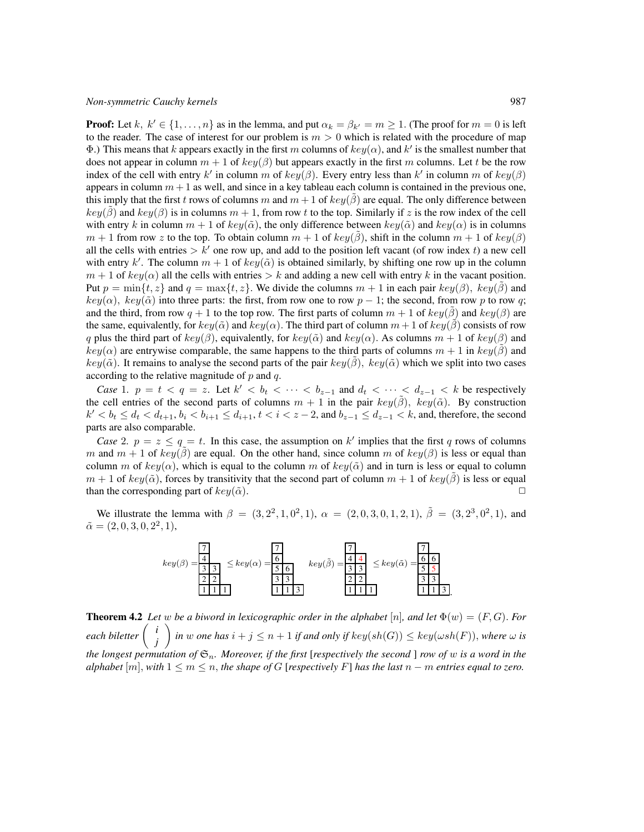**Proof:** Let k,  $k' \in \{1, \ldots, n\}$  as in the lemma, and put  $\alpha_k = \beta_{k'} = m \ge 1$ . (The proof for  $m = 0$  is left to the reader. The case of interest for our problem is  $m > 0$  which is related with the procedure of map Φ.) This means that k appears exactly in the first m columns of  $key(α)$ , and k' is the smallest number that does not appear in column  $m + 1$  of  $key(\beta)$  but appears exactly in the first m columns. Let t be the row index of the cell with entry k' in column m of  $key(\beta)$ . Every entry less than k' in column m of  $key(\beta)$ appears in column  $m + 1$  as well, and since in a key tableau each column is contained in the previous one, this imply that the first t rows of columns m and  $m + 1$  of  $key(\beta)$  are equal. The only difference between  $key(\beta)$  and  $key(\beta)$  is in columns  $m + 1$ , from row t to the top. Similarly if z is the row index of the cell with entry k in column  $m + 1$  of  $key(\tilde{\alpha})$ , the only difference between  $key(\tilde{\alpha})$  and  $key(\alpha)$  is in columns  $m + 1$  from row z to the top. To obtain column  $m + 1$  of  $key(\beta)$ , shift in the column  $m + 1$  of  $key(\beta)$ all the cells with entries  $> k'$  one row up, and add to the position left vacant (of row index t) a new cell with entry k'. The column  $m + 1$  of  $key(\tilde{\alpha})$  is obtained similarly, by shifting one row up in the column  $m + 1$  of  $key(\alpha)$  all the cells with entries  $\gt k$  and adding a new cell with entry k in the vacant position. Put  $p = \min\{t, z\}$  and  $q = \max\{t, z\}$ . We divide the columns  $m + 1$  in each pair  $key(\beta)$ ,  $key(\beta)$  and  $key(\alpha)$ ,  $key(\tilde{\alpha})$  into three parts: the first, from row one to row p – 1; the second, from row p to row q; and the third, from row  $q + 1$  to the top row. The first parts of column  $m + 1$  of  $key(\beta)$  and  $key(\beta)$  are the same, equivalently, for  $key(\tilde{\alpha})$  and  $key(\alpha)$ . The third part of column  $m + 1$  of  $key(\beta)$  consists of row q plus the third part of key( $\beta$ ), equivalently, for key( $\tilde{\alpha}$ ) and key( $\alpha$ ). As columns  $m + 1$  of key( $\beta$ ) and  $key(\alpha)$  are entrywise comparable, the same happens to the third parts of columns  $m + 1$  in  $key(\beta)$  and  $key(\tilde{\alpha})$ . It remains to analyse the second parts of the pair  $key(\tilde{\beta})$ ,  $key(\tilde{\alpha})$  which we split into two cases according to the relative magnitude of  $p$  and  $q$ .

*Case* 1.  $p = t < q = z$ . Let  $k' < b_t < \cdots < b_{z-1}$  and  $d_t < \cdots < d_{z-1} < k$  be respectively the cell entries of the second parts of columns  $m + 1$  in the pair  $key(\hat{\beta})$ ,  $key(\tilde{\alpha})$ . By construction  $k' < b_t \le d_t < d_{t+1}, b_i < b_{i+1} \le d_{i+1}, t < i < z-2$ , and  $b_{z-1} \le d_{z-1} < k$ , and, therefore, the second parts are also comparable.

*Case* 2.  $p = z \leq q = t$ . In this case, the assumption on k' implies that the first q rows of columns m and  $m + 1$  of  $key(\beta)$  are equal. On the other hand, since column m of  $key(\beta)$  is less or equal than column m of  $key(\alpha)$ , which is equal to the column m of  $key(\tilde{\alpha})$  and in turn is less or equal to column  $m + 1$  of  $key(\tilde{\alpha})$ , forces by transitivity that the second part of column  $m + 1$  of  $key(\beta)$  is less or equal than the corresponding part of  $key(\tilde{\alpha})$ .

We illustrate the lemma with  $\beta = (3, 2^2, 1, 0^2, 1), \alpha = (2, 0, 3, 0, 1, 2, 1), \tilde{\beta} = (3, 2^3, 0^2, 1),$  and  $\tilde{\alpha} = (2, 0, 3, 0, 2^2, 1),$ 



<span id="page-6-0"></span>**Theorem 4.2** Let w be a biword in lexicographic order in the alphabet  $[n]$ , and let  $\Phi(w) = (F, G)$ . For *each biletter i j*  $\int$  *in* w one has  $i + j \leq n + 1$  *if and only if*  $key(sh(G)) \leq key(\omega sh(F))$ , where  $\omega$  *is the longest permutation of* Sn*. Moreover, if the first* [*respectively the second* ] *row of* w *is a word in the alphabet* [m], with  $1 \leq m \leq n$ , the shape of G [*respectively* F] has the last  $n - m$  *entries equal to zero.*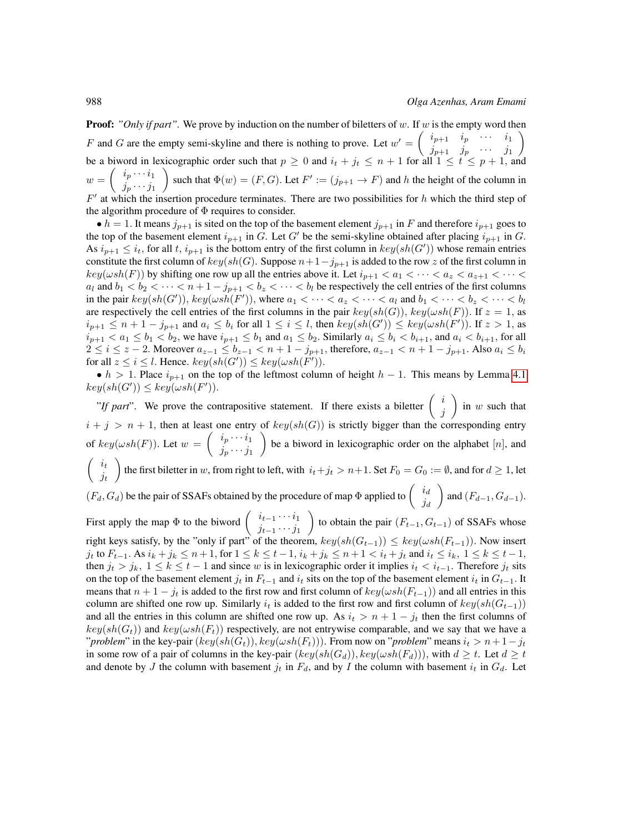**Proof:** "Only if part". We prove by induction on the number of biletters of w. If w is the empty word then F and G are the empty semi-skyline and there is nothing to prove. Let  $w' = \begin{pmatrix} i_{p+1} & i_p & \cdots & i_1 \\ i_p & i_p & \cdots & i_p \end{pmatrix}$  $j_{p+1}$   $j_p$   $\cdots$   $j_1$  $\setminus$ be a biword in lexicographic order such that  $p \ge 0$  and  $i_t + j_t \le n + 1$  for all  $1 \le t \le p + 1$ , and  $w = \begin{pmatrix} i_p \cdots i_1 \\ i & i \end{pmatrix}$  $j_p \cdots j_1$ such that  $\Phi(w) = (F, G)$ . Let  $F' := (j_{p+1} \to F)$  and h the height of the column in  $F'$  at which the insertion procedure terminates. There are two possibilities for h which the third step of the algorithm procedure of  $\Phi$  requires to consider.

•  $h = 1$ . It means  $j_{p+1}$  is sited on the top of the basement element  $j_{p+1}$  in F and therefore  $i_{p+1}$  goes to the top of the basement element  $i_{p+1}$  in G. Let G' be the semi-skyline obtained after placing  $i_{p+1}$  in G. As  $i_{p+1} \leq i_t$ , for all t,  $i_{p+1}$  is the bottom entry of the first column in  $key(sh(G'))$  whose remain entries constitute the first column of  $key(sh(G)$ . Suppose  $n+1-j_{p+1}$  is added to the row z of the first column in  $key(\omega sh(F))$  by shifting one row up all the entries above it. Let  $i_{p+1} < a_1 < \cdots < a_z < a_{z+1} < \cdots <$  $a_l$  and  $b_1 < b_2 < \cdots < n+1-j_{p+1} < b_z < \cdots < b_l$  be respectively the cell entries of the first columns in the pair  $key(sh(G'))$ ,  $key(\omega sh(F'))$ , where  $a_1 < \cdots < a_z < \cdots < a_l$  and  $b_1 < \cdots < b_z < \cdots < b_l$ are respectively the cell entries of the first columns in the pair  $key(sh(G))$ ,  $key(\omega sh(F))$ . If  $z = 1$ , as  $i_{p+1} \leq n+1-j_{p+1}$  and  $a_i \leq b_i$  for all  $1 \leq i \leq l$ , then  $key(sh(G')) \leq key(\omega sh(F'))$ . If  $z > 1$ , as  $i_{p+1} < a_1 \le b_1 < b_2$ , we have  $i_{p+1} \le b_1$  and  $a_1 \le b_2$ . Similarly  $a_i \le b_i < b_{i+1}$ , and  $a_i < b_{i+1}$ , for all  $2 \le i \le z - 2$ . Moreover  $a_{z-1} \le b_{z-1} < n+1-j_{p+1}$ , therefore,  $a_{z-1} < n+1-j_{p+1}$ . Also  $a_i \le b_i$ for all  $z \leq i \leq l$ . Hence.  $key(sh(G')) \leq key(\omega sh(F'))$ .

•  $h > 1$ . Place  $i_{p+1}$  on the top of the leftmost column of height  $h - 1$ . This means by Lemma [4.1](#page-5-0)  $key(sh(G')) \leq key(\omega sh(F')).$ 

"*If part*". We prove the contrapositive statement. If there exists a biletter  $\begin{pmatrix} i \\ i \end{pmatrix}$ j ) in  $w$  such that  $i + j > n + 1$ , then at least one entry of  $key(sh(G))$  is strictly bigger than the corresponding entry of  $key(\omega sh(F))$ . Let  $w = \begin{pmatrix} i_p \cdots i_1 \\ i_p \end{pmatrix}$  $j_p \cdots j_1$ ) be a biword in lexicographic order on the alphabet  $[n]$ , and  $\int i_t$  $j_t$ the first biletter in w, from right to left, with  $i_t+j_t > n+1$ . Set  $F_0 = G_0 := \emptyset$ , and for  $d \ge 1$ , let  $(F_d, G_d)$  be the pair of SSAFs obtained by the procedure of map  $\Phi$  applied to  $\begin{pmatrix} i_d & i_d \\ i_d & j_d \end{pmatrix}$  $\dot{\jmath}_d$ and  $(F_{d-1}, G_{d-1})$ . First apply the map  $\Phi$  to the biword  $\begin{pmatrix} i_{t-1} & \cdots & i_1 \\ \vdots & \vdots & \vdots \end{pmatrix}$  $j_{t-1} \cdots j_1$ to obtain the pair  $(F_{t-1}, G_{t-1})$  of SSAFs whose right keys satisfy, by the "only if part" of the theorem,  $key(sh(G_{t-1})) \leq key(\omega sh(F_{t-1}))$ . Now insert j<sub>t</sub> to  $F_{t-1}$ . As  $i_k + j_k ≤ n + 1$ , for  $1 ≤ k ≤ t - 1$ ,  $i_k + j_k ≤ n + 1 < i_t + j_t$  and  $i_t ≤ i_k$ ,  $1 ≤ k ≤ t - 1$ , then  $j_t > j_k$ ,  $1 \leq k \leq t-1$  and since w is in lexicographic order it implies  $i_t < i_{t-1}$ . Therefore  $j_t$  sits on the top of the basement element  $j_t$  in  $F_{t-1}$  and  $i_t$  sits on the top of the basement element  $i_t$  in  $G_{t-1}$ . It means that  $n + 1 - j_t$  is added to the first row and first column of  $key(\omega sh(F_{t-1}))$  and all entries in this column are shifted one row up. Similarly  $i_t$  is added to the first row and first column of  $key(sh(G_{t-1}))$ and all the entries in this column are shifted one row up. As  $i_t > n + 1 - j_t$  then the first columns of  $key(sh(G_t))$  and  $key(\omega sh(F_t))$  respectively, are not entrywise comparable, and we say that we have a "*problem*" in the key-pair  $(key(sh(G_t)), key(\omega sh(F_t)))$ . From now on "*problem*" means  $i_t > n+1-j_t$ in some row of a pair of columns in the key-pair  $(key(sh(G_d)), key(\omega sh(F_d)))$ , with  $d \geq t$ . Let  $d \geq t$ 

and denote by J the column with basement  $j_t$  in  $F_d$ , and by I the column with basement  $i_t$  in  $G_d$ . Let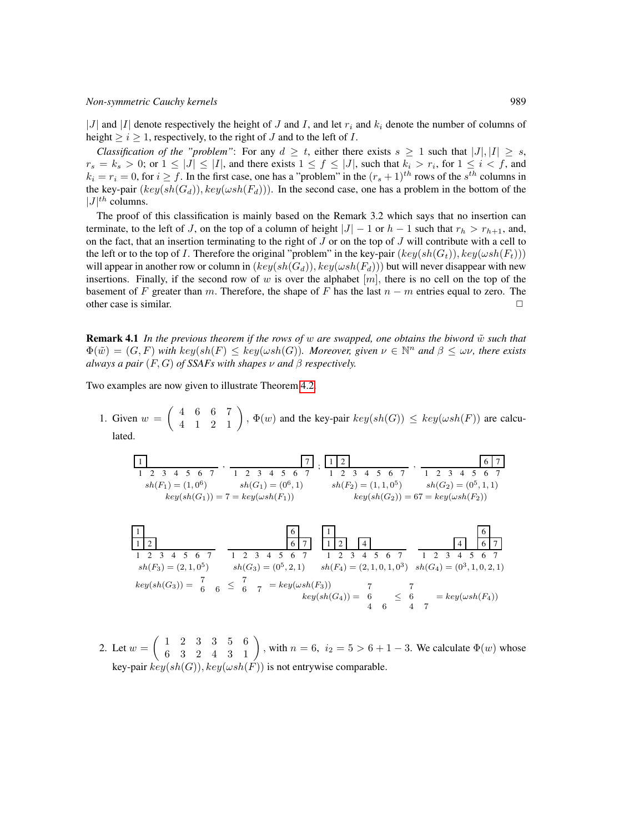#### *Non-symmetric Cauchy kernels* 989

|J| and |I| denote respectively the height of J and I, and let  $r_i$  and  $k_i$  denote the number of columns of height  $\ge i \ge 1$ , respectively, to the right of J and to the left of I.

*Classification of the "problem"*: For any  $d \ge t$ , either there exists  $s \ge 1$  such that  $|J|, |I| \ge s$ ,  $r_s = k_s > 0$ ; or  $1 \leq |J| \leq |I|$ , and there exists  $1 \leq f \leq |J|$ , such that  $k_i > r_i$ , for  $1 \leq i < f$ , and  $k_i = r_i = 0$ , for  $i \ge f$ . In the first case, one has a "problem" in the  $(r_s + 1)^{th}$  rows of the  $s^{th}$  columns in the key-pair  $(key(sh(G_d)), key(wsh(F_d)))$ . In the second case, one has a problem in the bottom of the  $|J|^{th}$  columns.

The proof of this classification is mainly based on the Remark 3.2 which says that no insertion can terminate, to the left of J, on the top of a column of height  $|J| - 1$  or  $h - 1$  such that  $r_h > r_{h+1}$ , and, on the fact, that an insertion terminating to the right of  $J$  or on the top of  $J$  will contribute with a cell to the left or to the top of I. Therefore the original "problem" in the key-pair  $(key(sh(G_t)), key(\omega sh(F_t)))$ will appear in another row or column in  $(key(sh(G_d)), key(\omega sh(F_d)))$  but will never disappear with new insertions. Finally, if the second row of w is over the alphabet  $[m]$ , there is no cell on the top of the basement of F greater than m. Therefore, the shape of F has the last  $n - m$  entries equal to zero. The other case is similar.  $\Box$ 

**Remark 4.1** In the previous theorem if the rows of w are swapped, one obtains the biword  $\tilde{w}$  such that  $\Phi(\tilde{w}) = (G, F)$  with  $key(sh(F) \leq key(\omega sh(G))$ . Moreover, given  $\nu \in \mathbb{N}^n$  and  $\beta \leq \omega \nu$ , there exists *always a pair*  $(F, G)$  *of SSAFs with shapes*  $\nu$  *and*  $\beta$  *respectively.* 

Two examples are now given to illustrate Theorem [4.2.](#page-6-0)

1. Given  $w = \begin{pmatrix} 4 & 6 & 6 & 7 \\ 4 & 1 & 2 & 1 \end{pmatrix}$ ,  $\Phi(w)$  and the key-pair  $key(sh(G)) \leq key(\omega sh(F))$  are calculated.

1 2 3 4 5 6 7 1 2 3 4 5 6 7 1 7 sh(F1) = (1, 0 6 ) sh(G1) = (0<sup>6</sup> , 1) key(sh(G1)) = 7 = key(ωsh(F1)) 1 2 3 4 5 6 7 1 2 3 4 5 6 7 1 2 6 7 sh(F2) = (1, 1, 0 5 ) sh(G2) = (0<sup>5</sup> , 1, 1) key(sh(G2)) = 67 = key(ωsh(F2)) , ; ,



2. Let  $w = \begin{pmatrix} 1 & 2 & 3 & 3 & 5 & 6 \\ 6 & 3 & 2 & 4 & 3 & 1 \end{pmatrix}$ , with  $n = 6$ ,  $i_2 = 5 > 6 + 1 - 3$ . We calculate  $\Phi(w)$  whose key-pair  $key(sh(G))$ ,  $key(\omega sh(F))$  is not entrywise comparable.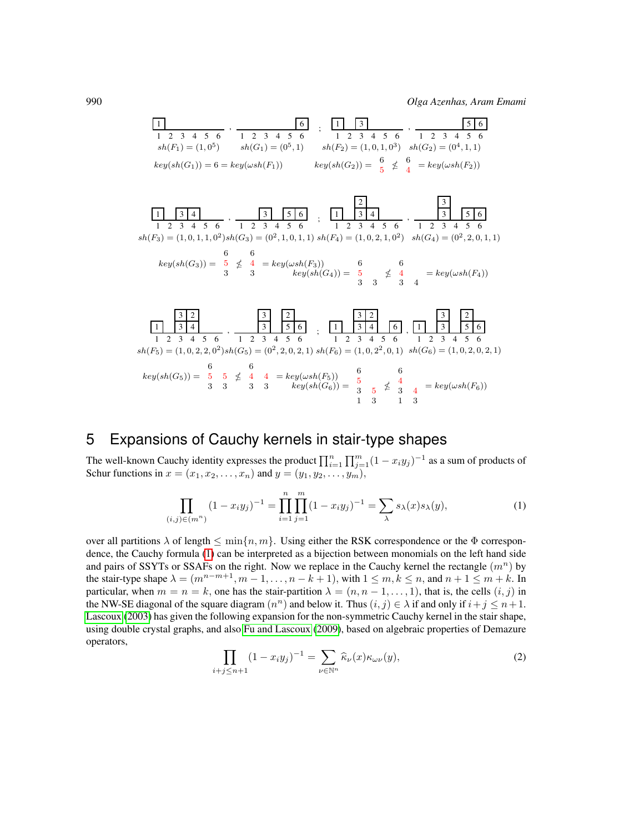$$
\begin{array}{|l|l|l|}\hline 1&6&1&3&1&5&6\\ \hline 1&2&3&4&5&6&1&2&3&4&5&6\\ \hline sh(F_1)=(1,0^5)&sh(G_1)=(0^5,1)&sh(F_2)=(1,0,1,0^3)&sh(G_2)=(0^4,1,1)\\ \hline \end{array} \quad\begin{array}{|l|l|l|}\hline 1&3&1&3&5&6\\ \hline 1&2&3&4&5&6&1&2&3&4&5&6\\ \hline 1&2&3&4&5&6&1&2&3&4&5&6\\ \hline \end{array}
$$
\n
$$
key(sh(G_1))=6=key(\omega sh(F_1))\qquad\qquad key(sh(G_2))=\begin{array}{|l|l|}\hline 6&6&6&1&2&3&4&5&6\\ \hline 5&6&4&1&2&3&4&5&6\\ \hline \end{array}
$$



## 5 Expansions of Cauchy kernels in stair-type shapes

The well-known Cauchy identity expresses the product  $\prod_{i=1}^n \prod_{j=1}^m (1-x_i y_j)^{-1}$  as a sum of products of Schur functions in  $x = (x_1, x_2, \dots, x_n)$  and  $y = (y_1, y_2, \dots, y_m)$ ,

<span id="page-9-0"></span>
$$
\prod_{(i,j)\in(m^n)} (1-x_iy_j)^{-1} = \prod_{i=1}^n \prod_{j=1}^m (1-x_iy_j)^{-1} = \sum_{\lambda} s_{\lambda}(x)s_{\lambda}(y),
$$
\n(1)

over all partitions  $\lambda$  of length  $\leq \min\{n, m\}$ . Using either the RSK correspondence or the  $\Phi$  correspondence, the Cauchy formula [\(1\)](#page-9-0) can be interpreted as a bijection between monomials on the left hand side and pairs of SSYTs or SSAFs on the right. Now we replace in the Cauchy kernel the rectangle  $(m^n)$  by the stair-type shape  $\lambda = (m^{n-m+1}, m-1, \ldots, n-k+1)$ , with  $1 \leq m, k \leq n$ , and  $n+1 \leq m+k$ . In particular, when  $m = n = k$ , one has the stair-partition  $\lambda = (n, n - 1, \dots, 1)$ , that is, the cells  $(i, j)$  in the NW-SE diagonal of the square diagram  $(n^n)$  and below it. Thus  $(i, j) \in \lambda$  if and only if  $i + j \leq n + 1$ . [Lascoux](#page-11-12) [\(2003\)](#page-11-12) has given the following expansion for the non-symmetric Cauchy kernel in the stair shape, using double crystal graphs, and also [Fu and Lascoux](#page-11-13) [\(2009\)](#page-11-13), based on algebraic properties of Demazure operators,

<span id="page-9-1"></span>
$$
\prod_{i+j\leq n+1} (1-x_iy_j)^{-1} = \sum_{\nu\in\mathbb{N}^n} \widehat{\kappa}_{\nu}(x)\kappa_{\omega\nu}(y),\tag{2}
$$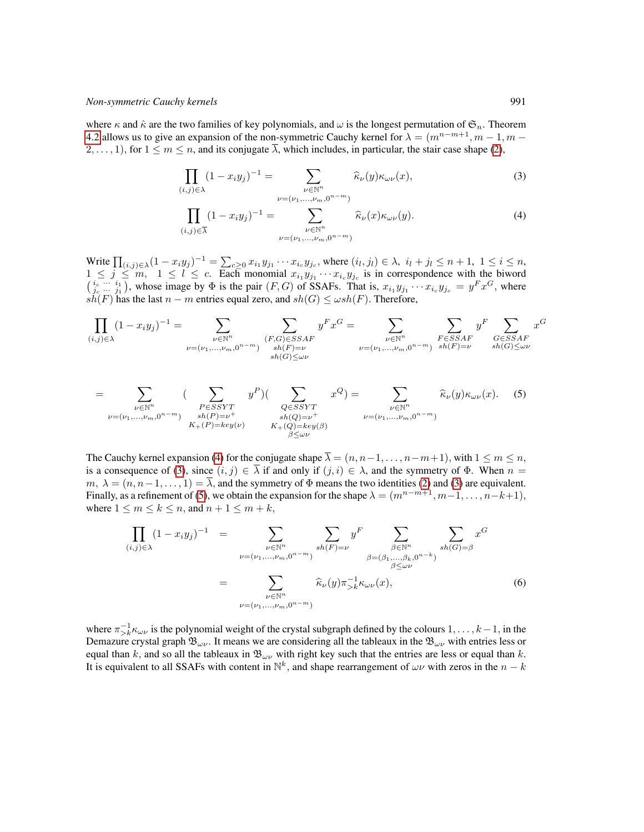where  $\kappa$  and  $\hat{\kappa}$  are the two families of key polynomials, and  $\omega$  is the longest permutation of  $\mathfrak{S}_n$ . Theorem [4.2](#page-6-0) allows us to give an expansion of the non-symmetric Cauchy kernel for  $\lambda = (m^{n-m+1}, m-1, m-1)$  $2, \ldots, 1$ , for  $1 \le m \le n$ , and its conjugate  $\overline{\lambda}$ , which includes, in particular, the stair case shape [\(2\)](#page-9-1),

<span id="page-10-0"></span>
$$
\prod_{(i,j)\in\lambda} (1-x_iy_j)^{-1} = \sum_{\substack{\nu\in\mathbb{N}^n\\ \nu=(\nu_1,\ldots,\nu_m,0^{n-m})}} \widehat{\kappa}_{\nu}(y)\kappa_{\omega\nu}(x),\tag{3}
$$

$$
\prod_{(i,j)\in\overline{\lambda}}(1-x_iy_j)^{-1} = \sum_{\substack{\nu\in\mathbb{N}^n\\ \nu=(\nu_1,\ldots,\nu_m,0^{n-m})}}\widehat{\kappa}_{\nu}(x)\kappa_{\omega\nu}(y). \tag{4}
$$

Write  $\prod_{(i,j)\in\lambda} (1-x_iy_j)^{-1} = \sum_{c\geq 0} x_{i_1}y_{j_1}\cdots x_{i_c}y_{j_c}$ , where  $(i_l, j_l) \in \lambda$ ,  $i_l + j_l \leq n+1$ ,  $1 \leq i \leq n$ ,  $1 \leq j \leq m$ ,  $1 \leq l \leq c$ . Each monomial  $x_{i_1}y_{j_1}\cdots x_{i_c}y_{j_c}$  is in correspondence with the biword  $\left(\begin{array}{c} i_c & \cdots & i_1 \\ j_c & \cdots & j_1 \end{array}\right)$ , whose image by  $\Phi$  is the pair  $(F, G)$  of SSAFs. That is,  $x_{i_1}y_{j_1} \cdots x_{i_c}y_{j_c} = y^Fx^G$ , where  $s\ddot{h}(F)$  has the last  $n - m$  entries equal zero, and  $sh(G) \leq \omega sh(F)$ . Therefore,

<span id="page-10-1"></span>
$$
\prod_{(i,j)\in\lambda} (1-x_i y_j)^{-1} = \sum_{\substack{\nu\in\mathbb{N}^n \\ \nu=(\nu_1,\ldots,\nu_m,0^{n-m})}} \sum_{\substack{(F,G)\in SSAF \\ sh(F)=\nu \\ sh(G)\le\omega\nu}} y^F x^G = \sum_{\substack{\nu\in\mathbb{N}^n \\ \nu=(\nu_1,\ldots,\nu_m,0^{n-m})}} \sum_{\substack{F\in SSAF \\ sh(F)=\nu}} y^F \sum_{\substack{G\in SSAF \\ sh(G)\le\omega\nu}} x^G
$$

$$
= \sum_{\substack{\nu \in \mathbb{N}^n \\ \nu = (\nu_1, \dots, \nu_m, 0^{n-m})}} \left( \sum_{\substack{P \in SSYT \\ sh(P) = \nu^+ \\ K_+(P) = key(\nu)}} y^P \right) \left( \sum_{\substack{Q \in SSYT \\ sh(Q) = \nu^+ \\ K_+(Q) = key(\beta)}} x^Q \right) = \sum_{\substack{\nu \in \mathbb{N}^n \\ \nu = (\nu_1, \dots, \nu_m, 0^{n-m})}} \widehat{\kappa}_{\nu}(y) \kappa_{\omega \nu}(x). \tag{5}
$$

The Cauchy kernel expansion [\(4\)](#page-10-0) for the conjugate shape  $\overline{\lambda} = (n, n-1, \ldots, n-m+1)$ , with  $1 \leq m \leq n$ , is a consequence of [\(3\)](#page-10-0), since  $(i, j) \in \overline{\lambda}$  if and only if  $(j, i) \in \lambda$ , and the symmetry of  $\Phi$ . When  $n =$  $m, \lambda = (n, n-1, \dots, 1) = \overline{\lambda}$ , and the symmetry of  $\Phi$  means the two identities [\(2\)](#page-9-1) and [\(3\)](#page-10-0) are equivalent. Finally, as a refinement of [\(5\)](#page-10-1), we obtain the expansion for the shape  $\lambda = (m^{n-m+1}, m-1, \ldots, n-k+1)$ , where  $1 \le m \le k \le n$ , and  $n + 1 \le m + k$ ,

<span id="page-10-2"></span>
$$
\prod_{(i,j)\in\lambda} (1-x_i y_j)^{-1} = \sum_{\substack{\nu\in\mathbb{N}^n \\ \nu=(\nu_1,\dots,\nu_m,0^{n-m})}} \sum_{sh(F)=\nu} y^F \sum_{\substack{\beta\in\mathbb{N}^n \\ \beta=(\beta_1,\dots,\beta_k,0^{n-k})}} \sum_{sh(G)=\beta} x^G
$$
\n
$$
= \sum_{\substack{\nu\in\mathbb{N}^n \\ \nu=(\nu_1,\dots,\nu_m,0^{n-m})}} \widehat{\kappa}_{\nu}(y) \pi_{>k}^{-1} \kappa_{\omega\nu}(x),
$$
\n(6)

where  $\pi_{>k}^{-1} \kappa_{\omega\nu}$  is the polynomial weight of the crystal subgraph defined by the colours  $1,\ldots,k-1$ , in the Demazure crystal graph  $\mathfrak{B}_{\omega\nu}$ . It means we are considering all the tableaux in the  $\mathfrak{B}_{\omega\nu}$  with entries less or equal than k, and so all the tableaux in  $\mathfrak{B}_{\omega\nu}$  with right key such that the entries are less or equal than k. It is equivalent to all SSAFs with content in  $\mathbb{N}^k$ , and shape rearrangement of  $\omega \nu$  with zeros in the  $n - k$